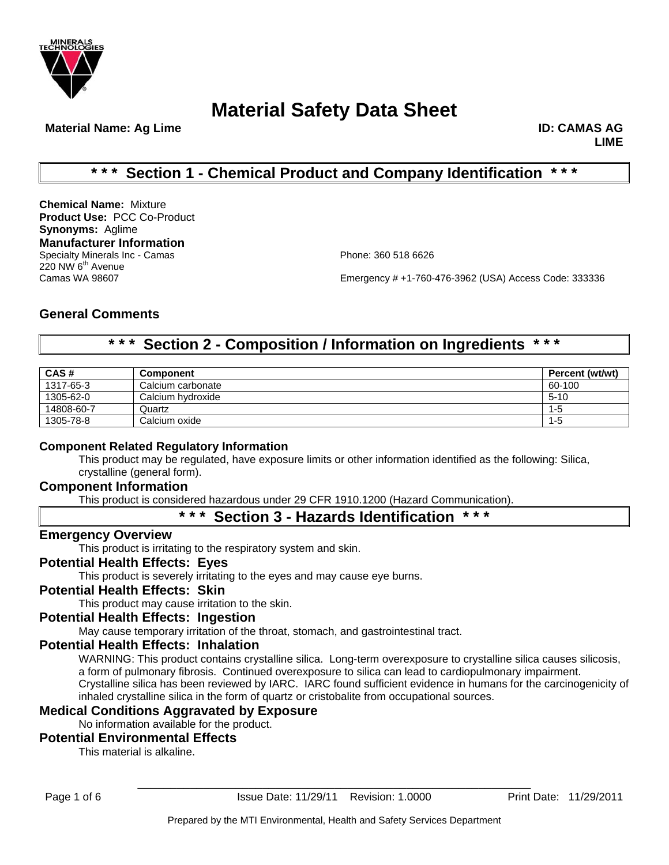

**Material Name: Ag Lime ID: CAMAS AG 2018 10: CAMAS AG 2018 10: CAMAS AG 2018 10: CAMAS AG 2018 10: CAMAS AG** 

**LIME**

# **\* \* \* Section 1 - Chemical Product and Company Identification \* \* \***

**Chemical Name:** Mixture **Product Use:** PCC Co-Product **Synonyms:** Aglime **Manufacturer Information** Specialty Minerals Inc - Camas **Phone: 360 518 6626** 220 NW 6<sup>th</sup> Avenue<br>Camas WA 98607

Emergency # +1-760-476-3962 (USA) Access Code: 333336

# **General Comments**

# **\* \* \* Section 2 - Composition / Information on Ingredients \* \* \***

| CAS#       | <b>Component</b>  | Percent (wt/wt) |
|------------|-------------------|-----------------|
| 1317-65-3  | Calcium carbonate | 60-100          |
| 1305-62-0  | Calcium hydroxide | $5 - 10$        |
| 14808-60-7 | Quartz            | $1 - 5$         |
| 1305-78-8  | Calcium oxide     | $1 - 5$         |

### **Component Related Regulatory Information**

This product may be regulated, have exposure limits or other information identified as the following: Silica, crystalline (general form).

## **Component Information**

This product is considered hazardous under 29 CFR 1910.1200 (Hazard Communication).

# **\* \* \* Section 3 - Hazards Identification \* \* \***

### **Emergency Overview**

This product is irritating to the respiratory system and skin.

### **Potential Health Effects: Eyes**

This product is severely irritating to the eyes and may cause eye burns.

### **Potential Health Effects: Skin**

This product may cause irritation to the skin.

# **Potential Health Effects: Ingestion**

May cause temporary irritation of the throat, stomach, and gastrointestinal tract.

## **Potential Health Effects: Inhalation**

WARNING: This product contains crystalline silica. Long-term overexposure to crystalline silica causes silicosis, a form of pulmonary fibrosis. Continued overexposure to silica can lead to cardiopulmonary impairment. Crystalline silica has been reviewed by IARC. IARC found sufficient evidence in humans for the carcinogenicity of inhaled crystalline silica in the form of quartz or cristobalite from occupational sources.

### **Medical Conditions Aggravated by Exposure**

No information available for the product.

### **Potential Environmental Effects**

This material is alkaline.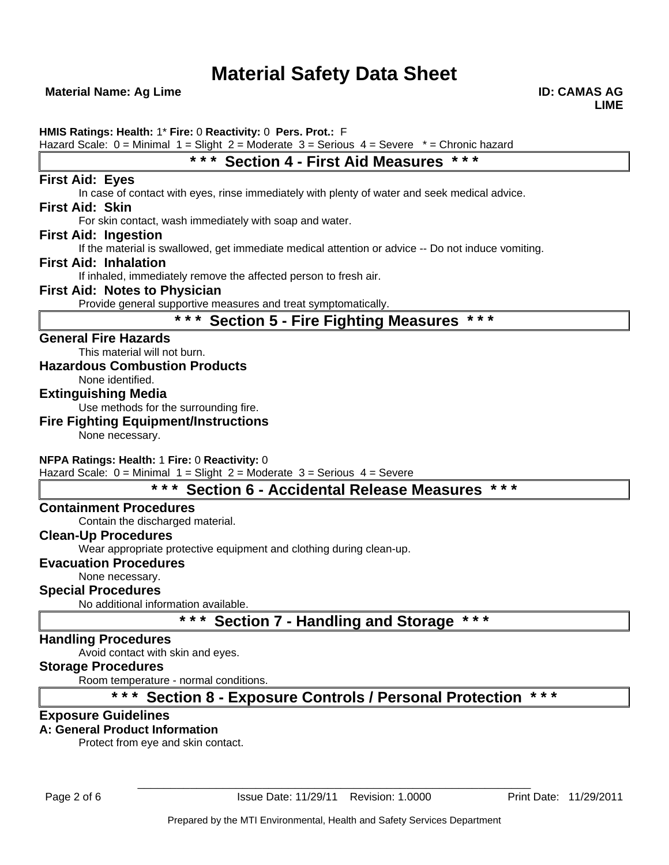**Material Name: Ag Lime ID: CAMAS AG 2018 10: CAMAS AG 2018 10: CAMAS AG 2018 10: CAMAS AG 2018 10: CAMAS AG** 

**HMIS Ratings: Health:** 1\* **Fire:** 0 **Reactivity:** 0 **Pers. Prot.:** F

Hazard Scale:  $0 =$  Minimal  $1 =$  Slight  $2 =$  Moderate  $3 =$  Serious  $4 =$  Severe  $* =$  Chronic hazard

# **\* \* \* Section 4 - First Aid Measures \* \* \***

## **First Aid: Eyes**

In case of contact with eyes, rinse immediately with plenty of water and seek medical advice.

### **First Aid: Skin**

For skin contact, wash immediately with soap and water.

### **First Aid: Ingestion**

If the material is swallowed, get immediate medical attention or advice -- Do not induce vomiting.

### **First Aid: Inhalation**

If inhaled, immediately remove the affected person to fresh air.

### **First Aid: Notes to Physician**

Provide general supportive measures and treat symptomatically.

# **\* \* \* Section 5 - Fire Fighting Measures \* \* \***

### **General Fire Hazards**

This material will not burn.

### **Hazardous Combustion Products**

None identified.

## **Extinguishing Media**

Use methods for the surrounding fire.

### **Fire Fighting Equipment/Instructions**

None necessary.

### **NFPA Ratings: Health:** 1 **Fire:** 0 **Reactivity:** 0

Hazard Scale:  $0 =$  Minimal  $1 =$  Slight  $2 =$  Moderate  $3 =$  Serious  $4 =$  Severe

# **\* \* \* Section 6 - Accidental Release Measures \* \* \***

### **Containment Procedures**

Contain the discharged material.

### **Clean-Up Procedures**

Wear appropriate protective equipment and clothing during clean-up.

### **Evacuation Procedures**

None necessary.

### **Special Procedures**

No additional information available.

# **\* \* \* Section 7 - Handling and Storage \* \* \***

### **Handling Procedures**

Avoid contact with skin and eyes.

## **Storage Procedures**

Room temperature - normal conditions.

# **\* \* \* Section 8 - Exposure Controls / Personal Protection \* \* \***

### **Exposure Guidelines**

### **A: General Product Information**

Protect from eye and skin contact.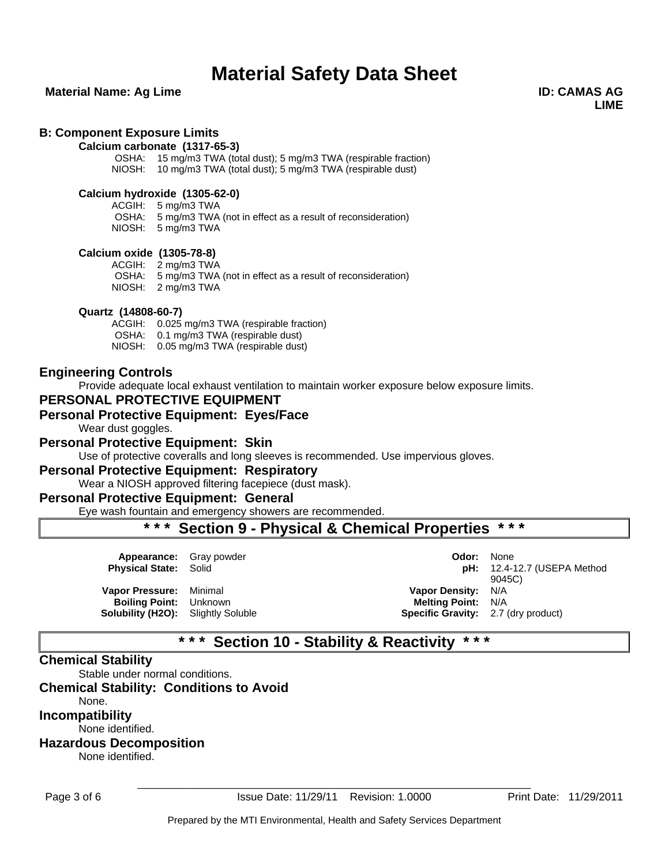### **Material Name: Ag Lime ID: CAMAS AG 2018 10: CAMAS AG 2018 10: CAMAS AG 2018 10: CAMAS AG 2018 10: CAMAS AG**

**LIME**

### **B: Component Exposure Limits**

#### **Calcium carbonate (1317-65-3)**

OSHA: 15 mg/m3 TWA (total dust); 5 mg/m3 TWA (respirable fraction) NIOSH: 10 mg/m3 TWA (total dust); 5 mg/m3 TWA (respirable dust)

#### **Calcium hydroxide (1305-62-0)**

ACGIH: 5 mg/m3 TWA OSHA: 5 mg/m3 TWA (not in effect as a result of reconsideration)

NIOSH: 5 mg/m3 TWA

#### **Calcium oxide (1305-78-8)**

ACGIH: 2 mg/m3 TWA OSHA: 5 mg/m3 TWA (not in effect as a result of reconsideration) NIOSH: 2 mg/m3 TWA

#### **Quartz (14808-60-7)**

ACGIH: 0.025 mg/m3 TWA (respirable fraction) OSHA: 0.1 mg/m3 TWA (respirable dust) NIOSH: 0.05 mg/m3 TWA (respirable dust)

### **Engineering Controls**

Provide adequate local exhaust ventilation to maintain worker exposure below exposure limits.

### **PERSONAL PROTECTIVE EQUIPMENT**

### **Personal Protective Equipment: Eyes/Face**

Wear dust goggles.

#### **Personal Protective Equipment: Skin**

Use of protective coveralls and long sleeves is recommended. Use impervious gloves.

#### **Personal Protective Equipment: Respiratory**

Wear a NIOSH approved filtering facepiece (dust mask).

### **Personal Protective Equipment: General**

Eye wash fountain and emergency showers are recommended.

# **\* \* \* Section 9 - Physical & Chemical Properties \* \* \***

| <b>Appearance:</b> Gray powder<br><b>Physical State: Solid</b>                                        | Odor:                                                                                                | None<br>$pH: 12.4-12.7$ (USEPA Method<br>9045C) |
|-------------------------------------------------------------------------------------------------------|------------------------------------------------------------------------------------------------------|-------------------------------------------------|
| Vapor Pressure: Minimal<br><b>Boiling Point:</b> Unknown<br><b>Solubility (H2O):</b> Slightly Soluble | <b>Vapor Density: N/A</b><br><b>Melting Point: N/A</b><br><b>Specific Gravity:</b> 2.7 (dry product) |                                                 |

# **\* \* \* Section 10 - Stability & Reactivity \* \* \***

### **Chemical Stability**

Stable under normal conditions.

## **Chemical Stability: Conditions to Avoid**

None.

**Incompatibility**

None identified.

# **Hazardous Decomposition**

None identified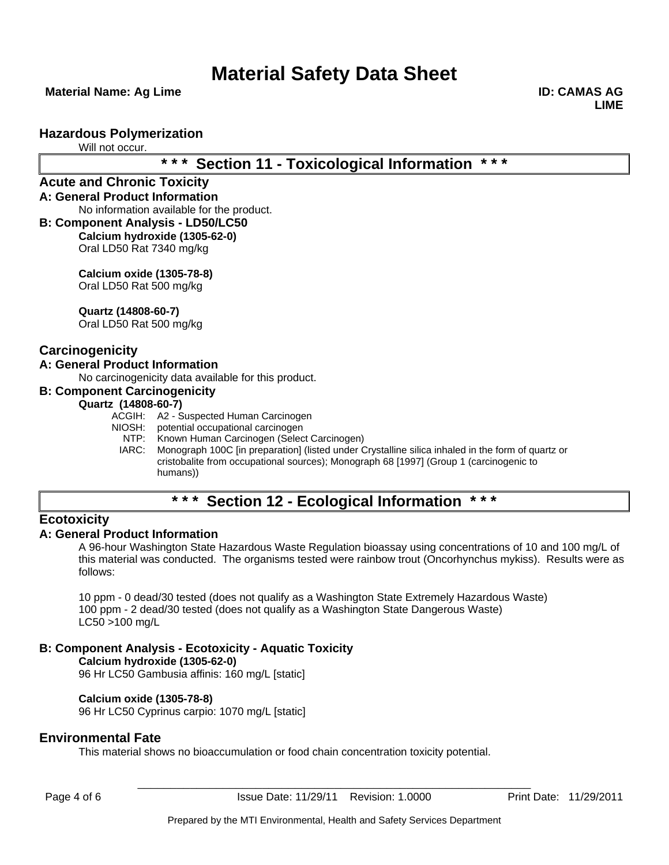**Material Name: Ag Lime ID: CAMAS AG 2018 10: CAMAS AG 2018 10: CAMAS AG 2018 10: CAMAS AG 2018 10: CAMAS AG** 

**LIME**

### **Hazardous Polymerization**

Will not occur.

# **\* \* \* Section 11 - Toxicological Information \* \* \***

#### **Acute and Chronic Toxicity A: General Product Information**

No information available for the product.

**B: Component Analysis - LD50/LC50 Calcium hydroxide (1305-62-0)** Oral LD50 Rat 7340 mg/kg

> **Calcium oxide (1305-78-8)** Oral LD50 Rat 500 mg/kg

**Quartz (14808-60-7)**

Oral LD50 Rat 500 mg/kg

## **Carcinogenicity**

### **A: General Product Information**

No carcinogenicity data available for this product.

#### **B: Component Carcinogenicity**

### **Quartz (14808-60-7)**

- ACGIH: A2 Suspected Human Carcinogen
- NIOSH: potential occupational carcinogen<br>NTP: Known Human Carcinogen (Selec
	- Known Human Carcinogen (Select Carcinogen)
	- IARC: Monograph 100C [in preparation] (listed under Crystalline silica inhaled in the form of quartz or cristobalite from occupational sources); Monograph 68 [1997] (Group 1 (carcinogenic to humans))

# **\* \* \* Section 12 - Ecological Information \* \* \***

### **Ecotoxicity**

### **A: General Product Information**

A 96-hour Washington State Hazardous Waste Regulation bioassay using concentrations of 10 and 100 mg/L of this material was conducted. The organisms tested were rainbow trout (Oncorhynchus mykiss). Results were as follows:

10 ppm - 0 dead/30 tested (does not qualify as a Washington State Extremely Hazardous Waste) 100 ppm - 2 dead/30 tested (does not qualify as a Washington State Dangerous Waste) LC50 >100 mg/L

### **B: Component Analysis - Ecotoxicity - Aquatic Toxicity**

**Calcium hydroxide (1305-62-0)** 96 Hr LC50 Gambusia affinis: 160 mg/L [static]

### **Calcium oxide (1305-78-8)**

96 Hr LC50 Cyprinus carpio: 1070 mg/L [static]

### **Environmental Fate**

This material shows no bioaccumulation or food chain concentration toxicity potential.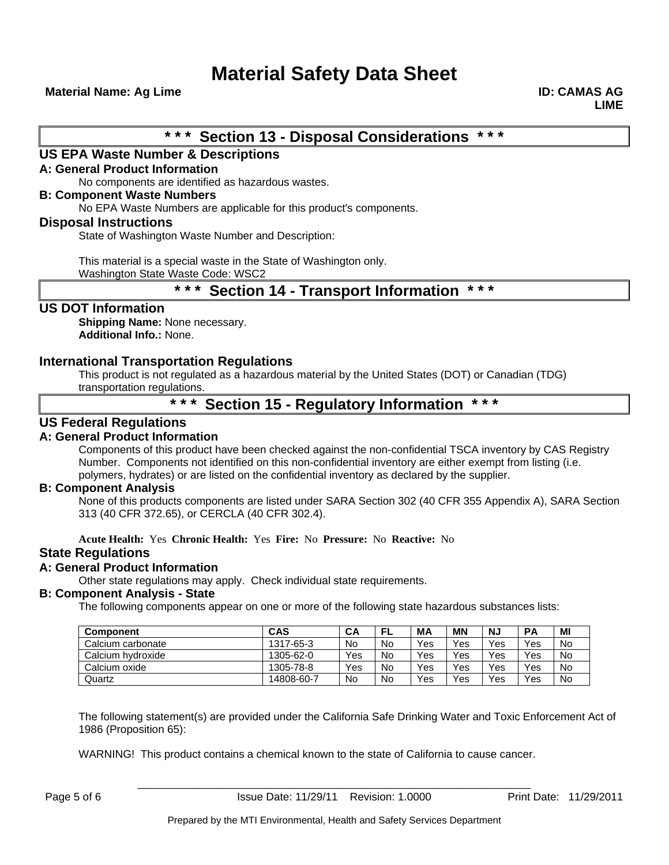**Material Name: Ag Lime ID: CAMAS AG 2018 10: CAMAS AG 2018 10: CAMAS AG 2018 10: CAMAS AG 2018 10: CAMAS AG** 

# **\* \* \* Section 13 - Disposal Considerations \* \* \***

### **US EPA Waste Number & Descriptions**

### **A: General Product Information**

No components are identified as hazardous wastes.

#### **B: Component Waste Numbers**

No EPA Waste Numbers are applicable for this product's components.

### **Disposal Instructions**

State of Washington Waste Number and Description:

This material is a special waste in the State of Washington only.

Washington State Waste Code: WSC2

# **\* \* \* Section 14 - Transport Information \* \* \***

### **US DOT Information**

**Shipping Name:** None necessary. **Additional Info.:** None.

### **International Transportation Regulations**

This product is not regulated as a hazardous material by the United States (DOT) or Canadian (TDG) transportation regulations.

# **\* \* \* Section 15 - Regulatory Information \* \* \***

### **US Federal Regulations**

### **A: General Product Information**

Components of this product have been checked against the non-confidential TSCA inventory by CAS Registry Number. Components not identified on this non-confidential inventory are either exempt from listing (i.e. polymers, hydrates) or are listed on the confidential inventory as declared by the supplier.

### **B: Component Analysis**

None of this products components are listed under SARA Section 302 (40 CFR 355 Appendix A), SARA Section 313 (40 CFR 372.65), or CERCLA (40 CFR 302.4).

**Acute Health:** Yes **Chronic Health:** Yes **Fire:** No **Pressure:** No **Reactive:** No

### **State Regulations**

### **A: General Product Information**

Other state regulations may apply. Check individual state requirements.

### **B: Component Analysis - State**

The following components appear on one or more of the following state hazardous substances lists:

| <b>Component</b>  | <b>CAS</b> | СA  | FL | <b>MA</b> | ΜN  | NJ  | <b>PA</b> | MI        |
|-------------------|------------|-----|----|-----------|-----|-----|-----------|-----------|
| Calcium carbonate | 1317-65-3  | No  | No | Yes       | Yes | Yes | Yes       | <b>No</b> |
| Calcium hydroxide | 1305-62-0  | Yes | No | Yes       | Yes | Yes | Yes       | <b>No</b> |
| Calcium oxide     | 1305-78-8  | Yes | No | Yes       | Yes | Yes | Yes       | <b>No</b> |
| Quartz            | 14808-60-7 | No  | No | Yes       | Yes | Yes | Yes       | No        |

The following statement(s) are provided under the California Safe Drinking Water and Toxic Enforcement Act of 1986 (Proposition 65):

WARNING! This product contains a chemical known to the state of California to cause cancer.